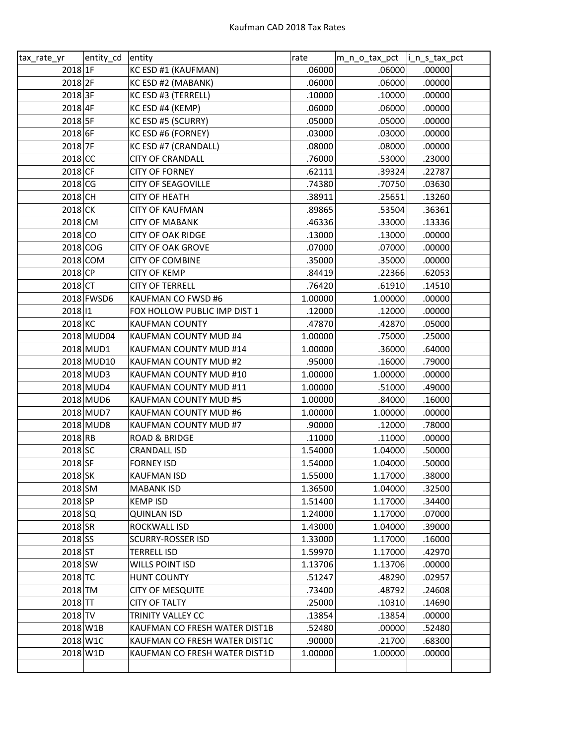| tax_rate_yr        | entity_cd  | entity                        | rate    | m_n_o_tax_pct  i_n_s_tax_pct |        |
|--------------------|------------|-------------------------------|---------|------------------------------|--------|
| 2018 1F            |            | KC ESD #1 (KAUFMAN)           | .06000  | .06000                       | .00000 |
| 2018 <sub>2F</sub> |            | KC ESD #2 (MABANK)            | .06000  | .06000                       | .00000 |
| 2018 3F            |            | KC ESD #3 (TERRELL)           | .10000  | .10000                       | .00000 |
| 2018 4F            |            | KC ESD #4 (KEMP)              | .06000  | .06000                       | .00000 |
| 2018 5F            |            | KC ESD #5 (SCURRY)            | .05000  | .05000                       | .00000 |
| 2018 6F            |            | KC ESD #6 (FORNEY)            | .03000  | .03000                       | .00000 |
| 2018 7F            |            | KC ESD #7 (CRANDALL)          | .08000  | .08000                       | .00000 |
| $2018$ CC          |            | <b>CITY OF CRANDALL</b>       | .76000  | .53000                       | .23000 |
| $2018$ CF          |            | <b>CITY OF FORNEY</b>         | .62111  | .39324                       | .22787 |
| 2018 CG            |            | <b>CITY OF SEAGOVILLE</b>     | .74380  | .70750                       | .03630 |
| 2018 CH            |            | <b>CITY OF HEATH</b>          | .38911  | .25651                       | .13260 |
| 2018 CK            |            | <b>CITY OF KAUFMAN</b>        | .89865  | .53504                       | .36361 |
| 2018 CM            |            | <b>CITY OF MABANK</b>         | .46336  | .33000                       | .13336 |
| 2018 CO            |            | <b>CITY OF OAK RIDGE</b>      | .13000  | .13000                       | .00000 |
| 2018 COG           |            | <b>CITY OF OAK GROVE</b>      | .07000  | .07000                       | .00000 |
|                    | 2018 COM   | <b>CITY OF COMBINE</b>        | .35000  | .35000                       | .00000 |
| 2018 CP            |            | <b>CITY OF KEMP</b>           | .84419  | .22366                       | .62053 |
| $2018$ CT          |            | <b>CITY OF TERRELL</b>        | .76420  | .61910                       | .14510 |
|                    | 2018 FWSD6 | KAUFMAN CO FWSD #6            | 1.00000 | 1.00000                      | .00000 |
| 2018 11            |            | FOX HOLLOW PUBLIC IMP DIST 1  | .12000  | .12000                       | .00000 |
| 2018 KC            |            | <b>KAUFMAN COUNTY</b>         | .47870  | .42870                       | .05000 |
|                    | 2018 MUD04 | KAUFMAN COUNTY MUD #4         | 1.00000 | .75000                       | .25000 |
|                    | 2018 MUD1  | KAUFMAN COUNTY MUD #14        | 1.00000 | .36000                       | .64000 |
|                    | 2018 MUD10 | KAUFMAN COUNTY MUD #2         | .95000  | .16000                       | .79000 |
|                    | 2018 MUD3  | KAUFMAN COUNTY MUD #10        | 1.00000 | 1.00000                      | .00000 |
|                    | 2018 MUD4  | KAUFMAN COUNTY MUD #11        | 1.00000 | .51000                       | .49000 |
|                    | 2018 MUD6  | KAUFMAN COUNTY MUD #5         | 1.00000 | .84000                       | .16000 |
|                    | 2018 MUD7  | KAUFMAN COUNTY MUD #6         | 1.00000 | 1.00000                      | .00000 |
|                    | 2018 MUD8  | KAUFMAN COUNTY MUD #7         | .90000  | .12000                       | .78000 |
| 2018 RB            |            | <b>ROAD &amp; BRIDGE</b>      | .11000  | .11000                       | .00000 |
| 2018 SC            |            | <b>CRANDALL ISD</b>           | 1.54000 | 1.04000                      | .50000 |
| 2018 SF            |            | <b>FORNEY ISD</b>             | 1.54000 | 1.04000                      | .50000 |
| 2018 SK            |            | <b>KAUFMAN ISD</b>            | 1.55000 | 1.17000                      | .38000 |
| 2018 SM            |            | <b>MABANK ISD</b>             | 1.36500 | 1.04000                      | .32500 |
| $2018$ SP          |            | <b>KEMP ISD</b>               | 1.51400 | 1.17000                      | .34400 |
| 2018 SQ            |            | <b>QUINLAN ISD</b>            | 1.24000 | 1.17000                      | .07000 |
| $2018$ SR          |            | ROCKWALL ISD                  | 1.43000 | 1.04000                      | .39000 |
| 2018 SS            |            | <b>SCURRY-ROSSER ISD</b>      | 1.33000 | 1.17000                      | .16000 |
| $2018$ ST          |            | <b>TERRELL ISD</b>            | 1.59970 | 1.17000                      | .42970 |
| 2018 SW            |            | <b>WILLS POINT ISD</b>        | 1.13706 | 1.13706                      | .00000 |
| 2018 TC            |            | <b>HUNT COUNTY</b>            | .51247  | .48290                       | .02957 |
| 2018 TM            |            | <b>CITY OF MESQUITE</b>       | .73400  | .48792                       | .24608 |
| $2018$ TT          |            | <b>CITY OF TALTY</b>          | .25000  | .10310                       | .14690 |
| $2018$ TV          |            | TRINITY VALLEY CC             | .13854  | .13854                       | .00000 |
| 2018 W1B           |            | KAUFMAN CO FRESH WATER DIST1B | .52480  | .00000                       | .52480 |
|                    | 2018 W1C   | KAUFMAN CO FRESH WATER DIST1C | .90000  | .21700                       | .68300 |
|                    | 2018 W1D   | KAUFMAN CO FRESH WATER DIST1D | 1.00000 | 1.00000                      | .00000 |
|                    |            |                               |         |                              |        |